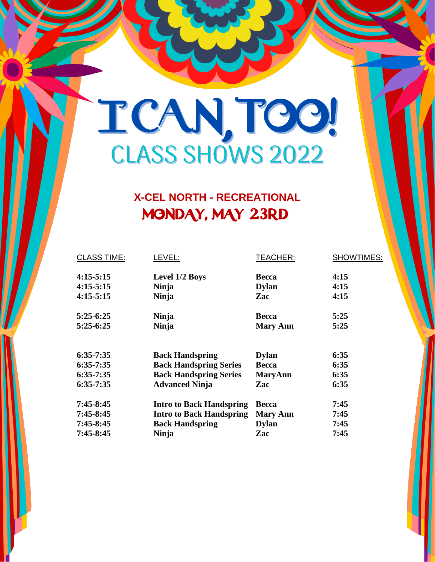### TCANTOO!

#### **X-CEL NORTH - RECREATIONAL** MONDAY, MAY 23RD

| <b>CLASS TIME:</b> | LEVEL:                          | <b>TEACHER:</b> | <b>SHOWTIMES:</b> |
|--------------------|---------------------------------|-----------------|-------------------|
| $4:15-5:15$        | Level 1/2 Boys                  | <b>Becca</b>    | 4:15              |
| $4:15-5:15$        | <b>Ninja</b>                    | <b>Dylan</b>    | 4:15              |
| $4:15-5:15$        | Ninja                           | Zac             | 4:15              |
| $5:25-6:25$        | <b>Ninja</b>                    | <b>Becca</b>    | 5:25              |
| $5:25-6:25$        | <b>Ninja</b>                    | <b>Mary Ann</b> | 5:25              |
|                    |                                 |                 |                   |
| $6:35-7:35$        | <b>Back Handspring</b>          | <b>Dylan</b>    | 6:35              |
| $6:35-7:35$        | <b>Back Handspring Series</b>   | <b>Becca</b>    | 6:35              |
| $6:35-7:35$        | <b>Back Handspring Series</b>   | <b>MaryAnn</b>  | 6:35              |
| $6:35-7:35$        | <b>Advanced Ninja</b>           | Zac             | 6:35              |
| $7:45 - 8:45$      | <b>Intro to Back Handspring</b> | <b>Becca</b>    | 7:45              |
| $7:45 - 8:45$      | <b>Intro to Back Handspring</b> | <b>Mary Ann</b> | 7:45              |
| $7:45 - 8:45$      | <b>Back Handspring</b>          | <b>Dylan</b>    | 7:45              |
| $7:45 - 8:45$      | <b>Ninja</b>                    | Zac             | 7:45              |
|                    |                                 |                 |                   |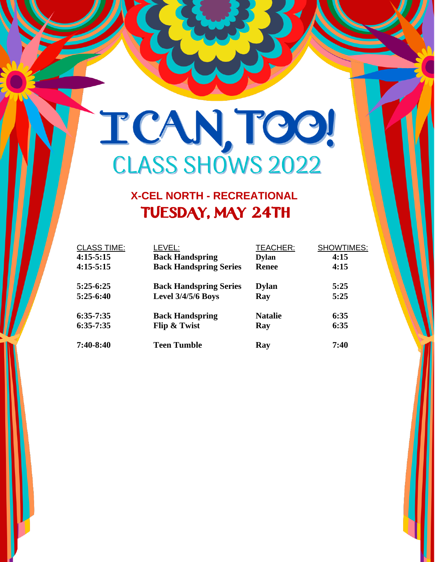# TCANTOO!

#### **X-CEL NORTH - RECREATIONAL** TUESDAY, MAY 24TH

| <b>CLASS TIME:</b> | LEVEL:                        | <b>TEACHER:</b> | <b>SHOWTIMES:</b> |
|--------------------|-------------------------------|-----------------|-------------------|
| $4:15-5:15$        | <b>Back Handspring</b>        | <b>Dylan</b>    | 4:15              |
| $4:15-5:15$        | <b>Back Handspring Series</b> | <b>Renee</b>    | 4:15              |
| $5:25-6:25$        | <b>Back Handspring Series</b> | <b>Dylan</b>    | 5:25              |
| $5:25-6:40$        | <b>Level 3/4/5/6 Boys</b>     | Ray             | 5:25              |
| $6:35-7:35$        | <b>Back Handspring</b>        | <b>Natalie</b>  | 6:35              |
| $6:35-7:35$        | Flip & Twist                  | Ray             | 6:35              |
| $7:40-8:40$        | Teen Tumble                   | Ray             | 7:40              |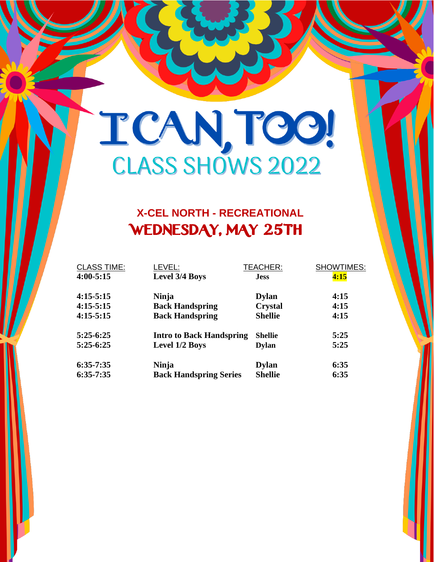## TCANTOO!

#### **X-CEL NORTH - RECREATIONAL** WEDNESDAY, MAY 25TH

| <b>CLASS TIME:</b> | LEVEL:                          | TEACHER:       | SHOWTIMES: |
|--------------------|---------------------------------|----------------|------------|
| $4:00 - 5:15$      | Level 3/4 Boys                  | <b>Jess</b>    | 4:15       |
| $4:15-5:15$        | <b>Ninja</b>                    | <b>Dylan</b>   | 4:15       |
| $4:15-5:15$        | <b>Back Handspring</b>          | <b>Crystal</b> | 4:15       |
| $4:15-5:15$        | <b>Back Handspring</b>          | <b>Shellie</b> | 4:15       |
| $5:25-6:25$        | <b>Intro to Back Handspring</b> | <b>Shellie</b> | 5:25       |
| $5:25-6:25$        | Level 1/2 Boys                  | <b>Dylan</b>   | 5:25       |
| $6:35-7:35$        | Ninja                           | <b>Dylan</b>   | 6:35       |
| $6:35-7:35$        | <b>Back Handspring Series</b>   | <b>Shellie</b> | 6:35       |